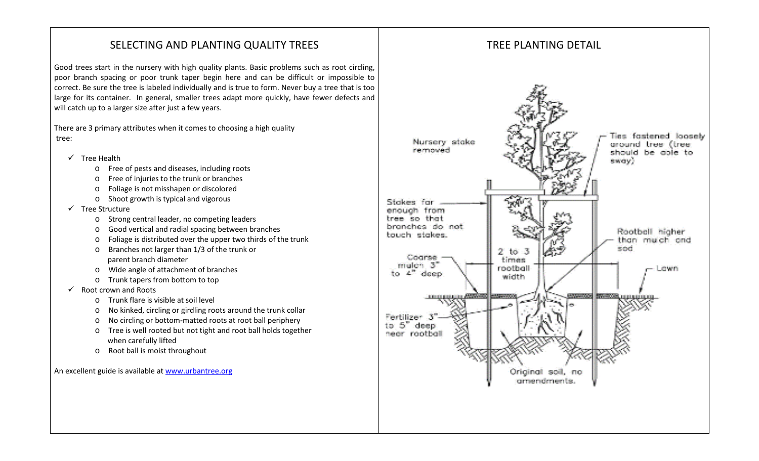# SELECTING AND PLANTING QUALITY TREES

Good trees start in the nursery with high quality plants. Basic problems such as root circling, poor branch spacing or poor trunk taper begin here and can be difficult or impossible to correct. Be sure the tree is labeled individually and is true to form. Never buy a tree that is too large for its container. In general, smaller trees adapt more quickly, have fewer defects and will catch up to a larger size after just a few years.

There are 3 primary attributes when it comes to choosing a high quality tree:

- $\checkmark$  Tree Health
	- o Free of pests and diseases, including roots
	- o Free of injuries to the trunk or branches
	- o Foliage is not misshapen or discolored
	- o Shoot growth is typical and vigorous
- $\checkmark$  Tree Structure
	- o Strong central leader, no competing leaders
	- o Good vertical and radial spacing between branches
	- o Foliage is distributed over the upper two thirds of the trunk
	- o Branches not larger than 1/3 of the trunk or parent branch diameter
	- o Wide angle of attachment of branches
	- o Trunk tapers from bottom to top
- $\checkmark$  Root crown and Roots
	- o Trunk flare is visible at soil level
	- o No kinked, circling or girdling roots around the trunk collar
	- o No circling or bottom-matted roots at root ball periphery
	- o Tree is well rooted but not tight and root ball holds together when carefully lifted
	- o Root ball is moist throughout

An excellent guide is available a[t www.urbantree.org](http://www.urbantree.org/)